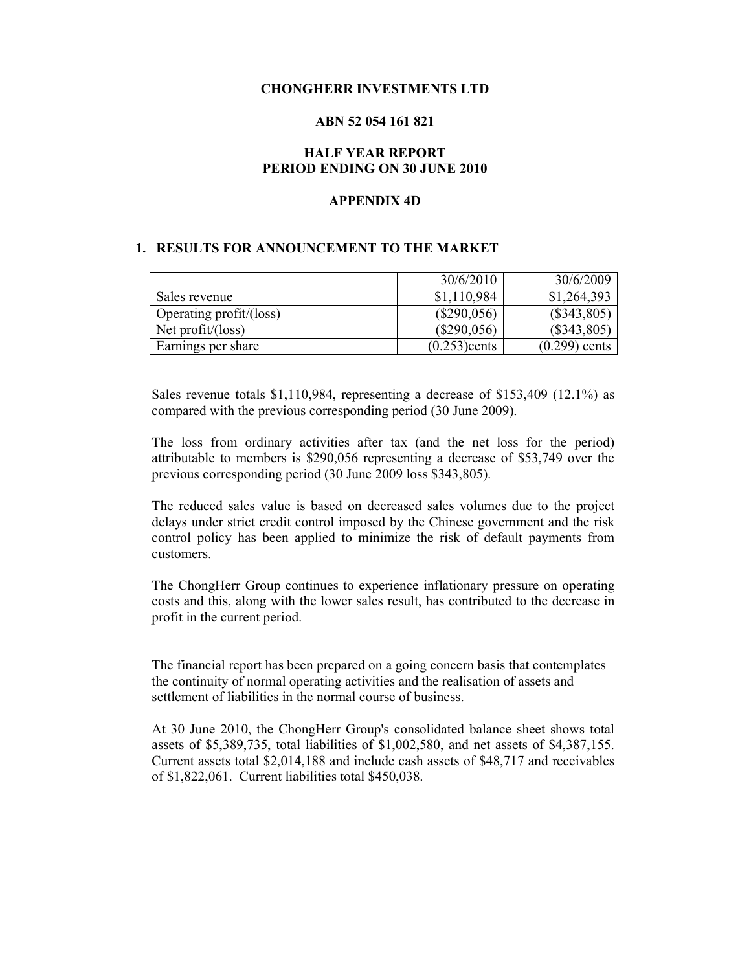#### **CHONGHERR INVESTMENTS LTD**

### **ABN 52 054 161 821**

### **HALF YEAR REPORT PERIOD ENDING ON 30 JUNE 2010**

#### **APPENDIX 4D**

#### **1. RESULTS FOR ANNOUNCEMENT TO THE MARKET**

|                         | 30/6/2010       | 30/6/2009       |
|-------------------------|-----------------|-----------------|
| Sales revenue           | \$1,110,984     | \$1,264,393     |
| Operating profit/(loss) | $(\$290,056)$   | $(\$343,805)$   |
| Net profit/(loss)       | $(\$290,056)$   | $(\$343,805)$   |
| Earnings per share      | $(0.253)$ cents | $(0.299)$ cents |

Sales revenue totals \$1,110,984, representing a decrease of \$153,409 (12.1%) as compared with the previous corresponding period (30 June 2009).

The loss from ordinary activities after tax (and the net loss for the period) attributable to members is \$290,056 representing a decrease of \$53,749 over the previous corresponding period (30 June 2009 loss \$343,805).

The reduced sales value is based on decreased sales volumes due to the project delays under strict credit control imposed by the Chinese government and the risk control policy has been applied to minimize the risk of default payments from customers.

The ChongHerr Group continues to experience inflationary pressure on operating costs and this, along with the lower sales result, has contributed to the decrease in profit in the current period.

The financial report has been prepared on a going concern basis that contemplates the continuity of normal operating activities and the realisation of assets and settlement of liabilities in the normal course of business.

At 30 June 2010, the ChongHerr Group's consolidated balance sheet shows total assets of \$5,389,735, total liabilities of \$1,002,580, and net assets of \$4,387,155. Current assets total \$2,014,188 and include cash assets of \$48,717 and receivables of \$1,822,061. Current liabilities total \$450,038.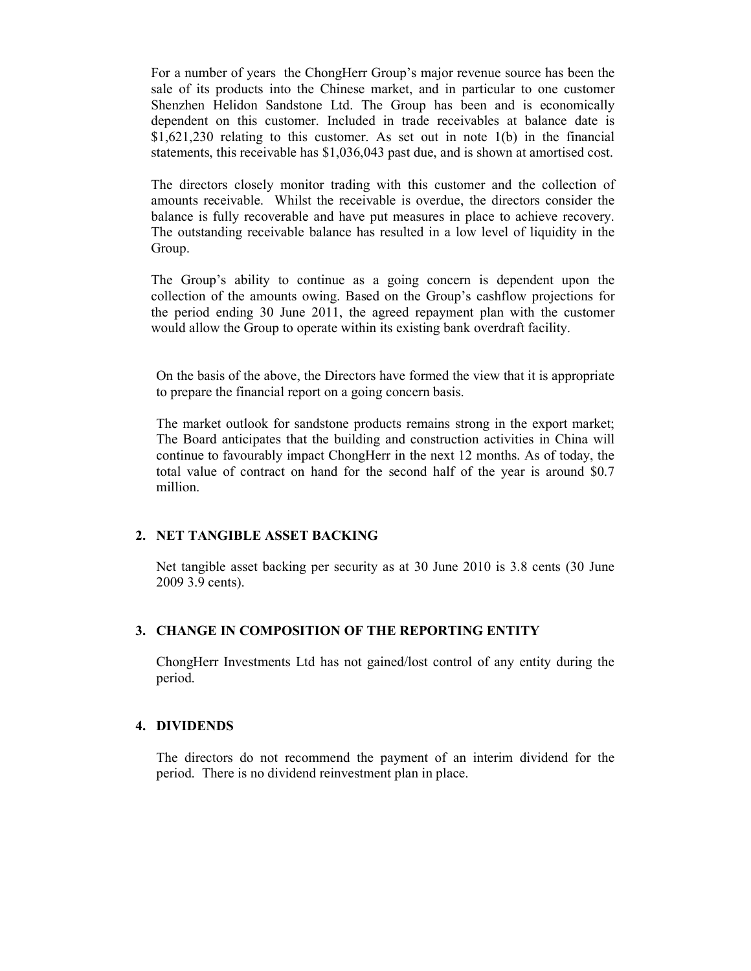For a number of years the ChongHerr Group's major revenue source has been the sale of its products into the Chinese market, and in particular to one customer Shenzhen Helidon Sandstone Ltd. The Group has been and is economically dependent on this customer. Included in trade receivables at balance date is \$1,621,230 relating to this customer. As set out in note 1(b) in the financial statements, this receivable has \$1,036,043 past due, and is shown at amortised cost.

The directors closely monitor trading with this customer and the collection of amounts receivable. Whilst the receivable is overdue, the directors consider the balance is fully recoverable and have put measures in place to achieve recovery. The outstanding receivable balance has resulted in a low level of liquidity in the Group.

The Group's ability to continue as a going concern is dependent upon the collection of the amounts owing. Based on the Group's cashflow projections for the period ending 30 June 2011, the agreed repayment plan with the customer would allow the Group to operate within its existing bank overdraft facility.

On the basis of the above, the Directors have formed the view that it is appropriate to prepare the financial report on a going concern basis.

The market outlook for sandstone products remains strong in the export market; The Board anticipates that the building and construction activities in China will continue to favourably impact ChongHerr in the next 12 months. As of today, the total value of contract on hand for the second half of the year is around \$0.7 million.

## **2. NET TANGIBLE ASSET BACKING**

Net tangible asset backing per security as at 30 June 2010 is 3.8 cents (30 June 2009 3.9 cents).

## **3. CHANGE IN COMPOSITION OF THE REPORTING ENTITY**

ChongHerr Investments Ltd has not gained/lost control of any entity during the period.

#### **4. DIVIDENDS**

The directors do not recommend the payment of an interim dividend for the period. There is no dividend reinvestment plan in place.